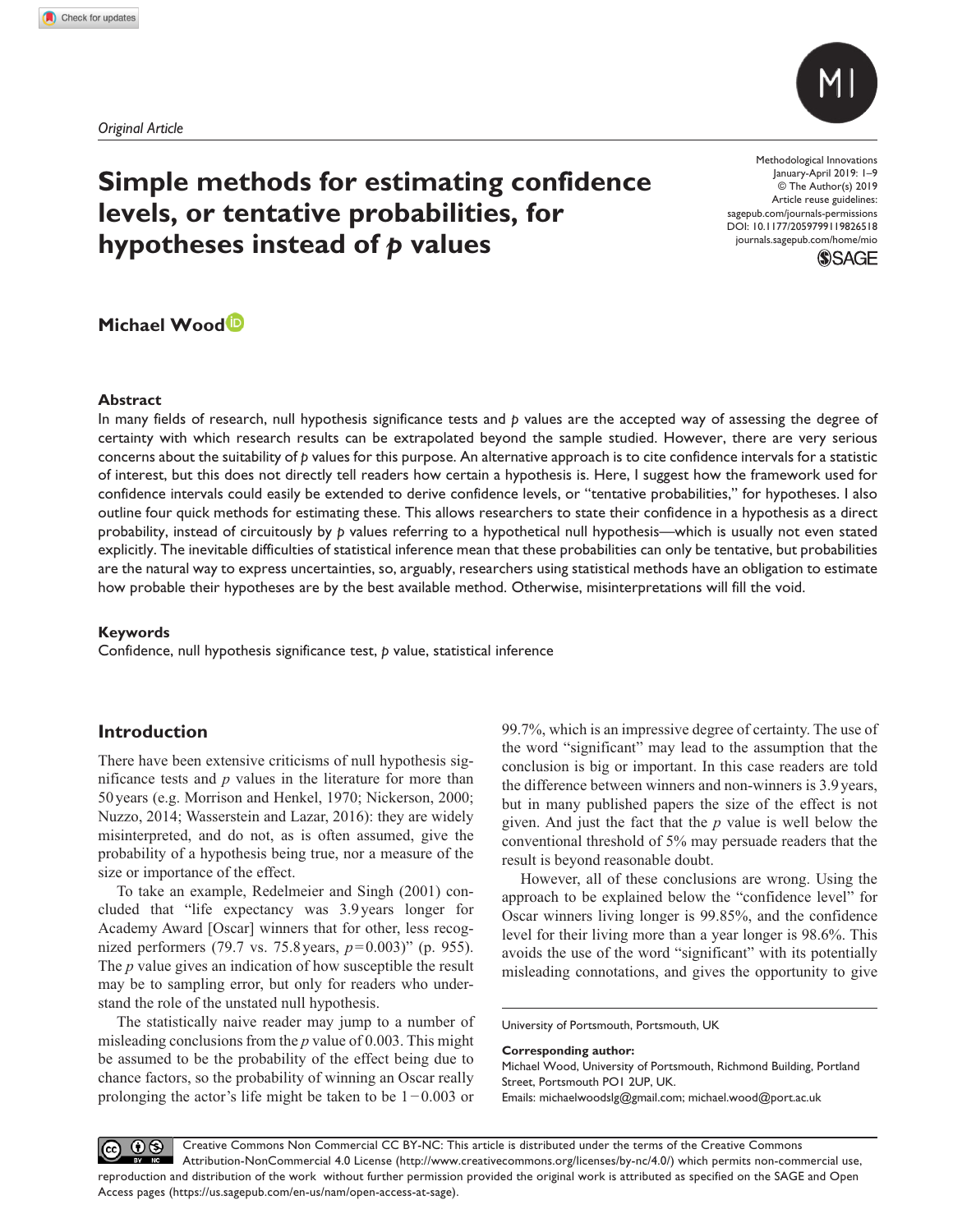*Original Article*



# **Simple methods for estimating confidence levels, or tentative probabilities, for hypotheses instead of** *p* **values**

DOI: 10.1177/2059799119826518 Methodological Innovations January-April 2019: 1–9 © The Author(s) 2019 Article reuse guidelines: [sagepub.com/journals-permissions](https://uk.sagepub.com/en-gb/journals-permissions) [journals.sagepub.com/home/mio](https://journals.sagepub.com/home/mio)



# **Michael Wood**

#### **Abstract**

In many fields of research, null hypothesis significance tests and *p* values are the accepted way of assessing the degree of certainty with which research results can be extrapolated beyond the sample studied. However, there are very serious concerns about the suitability of *p* values for this purpose. An alternative approach is to cite confidence intervals for a statistic of interest, but this does not directly tell readers how certain a hypothesis is. Here, I suggest how the framework used for confidence intervals could easily be extended to derive confidence levels, or "tentative probabilities," for hypotheses. I also outline four quick methods for estimating these. This allows researchers to state their confidence in a hypothesis as a direct probability, instead of circuitously by *p* values referring to a hypothetical null hypothesis—which is usually not even stated explicitly. The inevitable difficulties of statistical inference mean that these probabilities can only be tentative, but probabilities are the natural way to express uncertainties, so, arguably, researchers using statistical methods have an obligation to estimate how probable their hypotheses are by the best available method. Otherwise, misinterpretations will fill the void.

#### **Keywords**

Confidence, null hypothesis significance test, *p* value, statistical inference

### **Introduction**

There have been extensive criticisms of null hypothesis significance tests and *p* values in the literature for more than 50years (e.g. Morrison and Henkel, 1970; Nickerson, 2000; Nuzzo, 2014; Wasserstein and Lazar, 2016): they are widely misinterpreted, and do not, as is often assumed, give the probability of a hypothesis being true, nor a measure of the size or importance of the effect.

To take an example, Redelmeier and Singh (2001) concluded that "life expectancy was 3.9years longer for Academy Award [Oscar] winners that for other, less recognized performers (79.7 vs. 75.8 years, *p*=0.003)" (p. 955). The *p* value gives an indication of how susceptible the result may be to sampling error, but only for readers who understand the role of the unstated null hypothesis.

The statistically naive reader may jump to a number of misleading conclusions from the *p* value of 0.003. This might be assumed to be the probability of the effect being due to chance factors, so the probability of winning an Oscar really prolonging the actor's life might be taken to be 1−0.003 or 99.7%, which is an impressive degree of certainty. The use of the word "significant" may lead to the assumption that the conclusion is big or important. In this case readers are told the difference between winners and non-winners is 3.9 years, but in many published papers the size of the effect is not given. And just the fact that the *p* value is well below the conventional threshold of 5% may persuade readers that the result is beyond reasonable doubt.

However, all of these conclusions are wrong. Using the approach to be explained below the "confidence level" for Oscar winners living longer is 99.85%, and the confidence level for their living more than a year longer is 98.6%. This avoids the use of the word "significant" with its potentially misleading connotations, and gives the opportunity to give

University of Portsmouth, Portsmouth, UK

**Corresponding author:**

Michael Wood, University of Portsmouth, Richmond Building, Portland Street, Portsmouth PO1 2UP, UK.

Emails: [michaelwoodslg@gmail.com](mailto:michaelwoodslg@gmail.com); [michael.wood@port.ac.uk](mailto:michael.wood@port.ac.uk)

 $0$ Creative Commons Non Commercial CC BY-NC: This article is distributed under the terms of the Creative Commons (cc) Attribution-NonCommercial 4.0 License (http://www.creativecommons.org/licenses/by-nc/4.0/) which permits non-commercial use, reproduction and distribution of the work without further permission provided the original work is attributed as specified on the SAGE and Open Access pages (https://us.sagepub.com/en-us/nam/open-access-at-sage).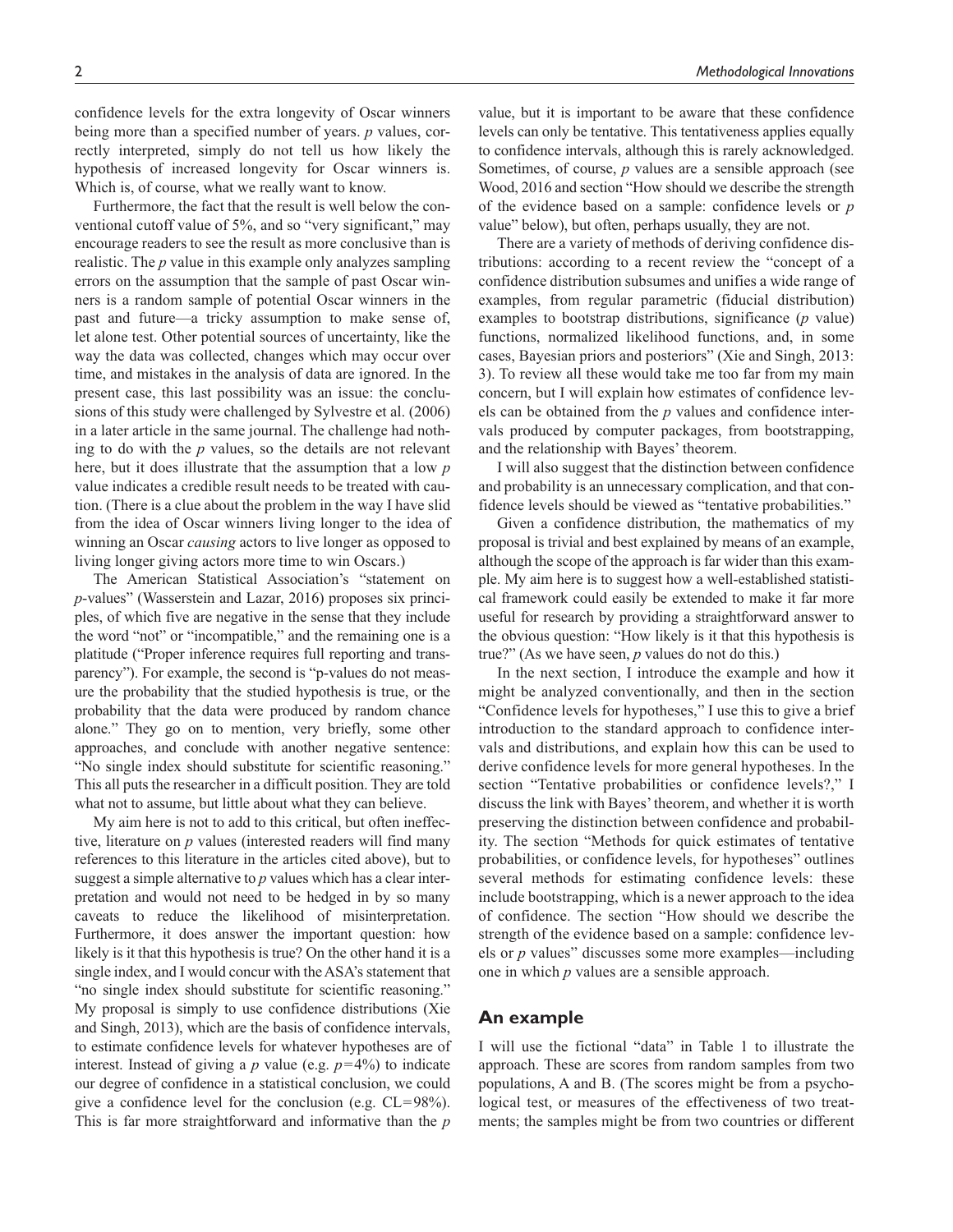confidence levels for the extra longevity of Oscar winners being more than a specified number of years. *p* values, correctly interpreted, simply do not tell us how likely the hypothesis of increased longevity for Oscar winners is. Which is, of course, what we really want to know.

Furthermore, the fact that the result is well below the conventional cutoff value of 5%, and so "very significant," may encourage readers to see the result as more conclusive than is realistic. The *p* value in this example only analyzes sampling errors on the assumption that the sample of past Oscar winners is a random sample of potential Oscar winners in the past and future—a tricky assumption to make sense of, let alone test. Other potential sources of uncertainty, like the way the data was collected, changes which may occur over time, and mistakes in the analysis of data are ignored. In the present case, this last possibility was an issue: the conclusions of this study were challenged by Sylvestre et al. (2006) in a later article in the same journal. The challenge had nothing to do with the *p* values, so the details are not relevant here, but it does illustrate that the assumption that a low *p* value indicates a credible result needs to be treated with caution. (There is a clue about the problem in the way I have slid from the idea of Oscar winners living longer to the idea of winning an Oscar *causing* actors to live longer as opposed to living longer giving actors more time to win Oscars.)

The American Statistical Association's "statement on *p*-values" (Wasserstein and Lazar, 2016) proposes six principles, of which five are negative in the sense that they include the word "not" or "incompatible," and the remaining one is a platitude ("Proper inference requires full reporting and transparency"). For example, the second is "p-values do not measure the probability that the studied hypothesis is true, or the probability that the data were produced by random chance alone." They go on to mention, very briefly, some other approaches, and conclude with another negative sentence: "No single index should substitute for scientific reasoning." This all puts the researcher in a difficult position. They are told what not to assume, but little about what they can believe.

My aim here is not to add to this critical, but often ineffective, literature on *p* values (interested readers will find many references to this literature in the articles cited above), but to suggest a simple alternative to *p* values which has a clear interpretation and would not need to be hedged in by so many caveats to reduce the likelihood of misinterpretation. Furthermore, it does answer the important question: how likely is it that this hypothesis is true? On the other hand it is a single index, and I would concur with the ASA's statement that "no single index should substitute for scientific reasoning." My proposal is simply to use confidence distributions (Xie and Singh, 2013), which are the basis of confidence intervals, to estimate confidence levels for whatever hypotheses are of interest. Instead of giving a  $p$  value (e.g.  $p=4\%$ ) to indicate our degree of confidence in a statistical conclusion, we could give a confidence level for the conclusion (e.g. CL=98%). This is far more straightforward and informative than the *p*

value, but it is important to be aware that these confidence levels can only be tentative. This tentativeness applies equally to confidence intervals, although this is rarely acknowledged. Sometimes, of course, *p* values are a sensible approach (see Wood, 2016 and section "How should we describe the strength of the evidence based on a sample: confidence levels or *p* value" below), but often, perhaps usually, they are not.

There are a variety of methods of deriving confidence distributions: according to a recent review the "concept of a confidence distribution subsumes and unifies a wide range of examples, from regular parametric (fiducial distribution) examples to bootstrap distributions, significance (*p* value) functions, normalized likelihood functions, and, in some cases, Bayesian priors and posteriors" (Xie and Singh, 2013: 3). To review all these would take me too far from my main concern, but I will explain how estimates of confidence levels can be obtained from the *p* values and confidence intervals produced by computer packages, from bootstrapping, and the relationship with Bayes' theorem.

I will also suggest that the distinction between confidence and probability is an unnecessary complication, and that confidence levels should be viewed as "tentative probabilities."

Given a confidence distribution, the mathematics of my proposal is trivial and best explained by means of an example, although the scope of the approach is far wider than this example. My aim here is to suggest how a well-established statistical framework could easily be extended to make it far more useful for research by providing a straightforward answer to the obvious question: "How likely is it that this hypothesis is true?" (As we have seen, *p* values do not do this.)

In the next section, I introduce the example and how it might be analyzed conventionally, and then in the section "Confidence levels for hypotheses," I use this to give a brief introduction to the standard approach to confidence intervals and distributions, and explain how this can be used to derive confidence levels for more general hypotheses. In the section "Tentative probabilities or confidence levels?," I discuss the link with Bayes' theorem, and whether it is worth preserving the distinction between confidence and probability. The section "Methods for quick estimates of tentative probabilities, or confidence levels, for hypotheses" outlines several methods for estimating confidence levels: these include bootstrapping, which is a newer approach to the idea of confidence. The section "How should we describe the strength of the evidence based on a sample: confidence levels or *p* values" discusses some more examples—including one in which *p* values are a sensible approach.

#### **An example**

I will use the fictional "data" in Table 1 to illustrate the approach. These are scores from random samples from two populations, A and B. (The scores might be from a psychological test, or measures of the effectiveness of two treatments; the samples might be from two countries or different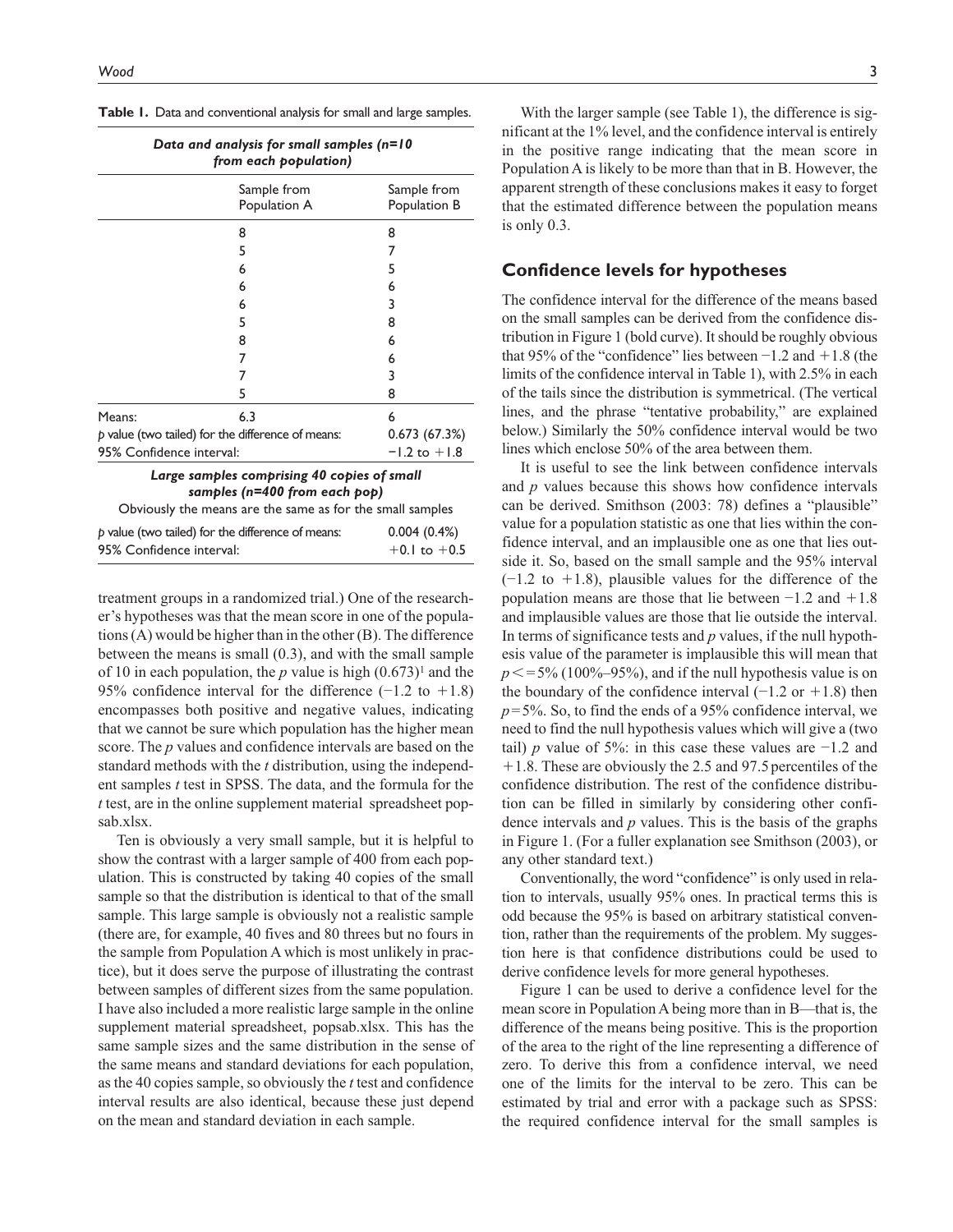|  |  |  |  | <b>Table 1.</b> Data and conventional analysis for small and large samples |  |  |  |  |  |  |  |  |
|--|--|--|--|----------------------------------------------------------------------------|--|--|--|--|--|--|--|--|
|--|--|--|--|----------------------------------------------------------------------------|--|--|--|--|--|--|--|--|

| <b>Table 1.</b> Data and conventional analysis for small and large samples.                                                               |                             |                             |  |  |
|-------------------------------------------------------------------------------------------------------------------------------------------|-----------------------------|-----------------------------|--|--|
| Data and analysis for small samples (n=10<br>from each population)                                                                        |                             |                             |  |  |
|                                                                                                                                           | Sample from<br>Population A | Sample from<br>Population B |  |  |
|                                                                                                                                           | 8                           | 8                           |  |  |
|                                                                                                                                           | 5                           | 7                           |  |  |
|                                                                                                                                           | 6                           | 5                           |  |  |
|                                                                                                                                           | 6                           | 6                           |  |  |
|                                                                                                                                           | 6                           | 3                           |  |  |
|                                                                                                                                           | 5                           | 8                           |  |  |
|                                                                                                                                           | 8                           | 6                           |  |  |
|                                                                                                                                           | 7                           | 6                           |  |  |
|                                                                                                                                           | 7                           | 3                           |  |  |
|                                                                                                                                           | 5                           | 8                           |  |  |
| Means:                                                                                                                                    | 6.3                         | 6                           |  |  |
| $p$ value (two tailed) for the difference of means:                                                                                       | 0.673 (67.3%)               |                             |  |  |
| 95% Confidence interval:                                                                                                                  |                             | $-1.2$ to $+1.8$            |  |  |
| Large samples comprising 40 copies of small<br>samples (n=400 from each pop)<br>Obviously the means are the same as for the small samples |                             |                             |  |  |
|                                                                                                                                           |                             |                             |  |  |

| p value (two tailed) for the difference of means: | 0.004(0.4%)      |
|---------------------------------------------------|------------------|
| 95% Confidence interval:                          | $+0.1$ to $+0.5$ |

treatment groups in a randomized trial.) One of the researcher's hypotheses was that the mean score in one of the populations (A) would be higher than in the other (B). The difference between the means is small (0.3), and with the small sample of 10 in each population, the *p* value is high  $(0.673)^1$  and the 95% confidence interval for the difference (−1.2 to +1.8) encompasses both positive and negative values, indicating that we cannot be sure which population has the higher mean score. The *p* values and confidence intervals are based on the standard methods with the *t* distribution, using the independent samples *t* test in SPSS. The data, and the formula for the *t* test, are in the [online supplement material](https://journals.sagepub.com/doi/suppl/10.1177/2059799119826518) spreadsheet [pop](https://journals.sagepub.com/doi/suppl/10.1177/2059799119826518)[sab.xlsx](https://journals.sagepub.com/doi/suppl/10.1177/2059799119826518).

Ten is obviously a very small sample, but it is helpful to show the contrast with a larger sample of 400 from each population. This is constructed by taking 40 copies of the small sample so that the distribution is identical to that of the small sample. This large sample is obviously not a realistic sample (there are, for example, 40 fives and 80 threes but no fours in the sample from Population A which is most unlikely in practice), but it does serve the purpose of illustrating the contrast between samples of different sizes from the same population. I have also included a more realistic large sample in the [online](https://journals.sagepub.com/doi/suppl/10.1177/2059799119826518) [supplement material](https://journals.sagepub.com/doi/suppl/10.1177/2059799119826518) spreadsheet, [popsab.xlsx.](https://journals.sagepub.com/doi/suppl/10.1177/2059799119826518) This has the same sample sizes and the same distribution in the sense of the same means and standard deviations for each population, as the 40 copies sample, so obviously the *t* test and confidence interval results are also identical, because these just depend on the mean and standard deviation in each sample.

With the larger sample (see Table 1), the difference is significant at the 1% level, and the confidence interval is entirely in the positive range indicating that the mean score in Population A is likely to be more than that in B. However, the apparent strength of these conclusions makes it easy to forget that the estimated difference between the population means is only 0.3.

### **Confidence levels for hypotheses**

The confidence interval for the difference of the means based on the small samples can be derived from the confidence distribution in Figure 1 (bold curve). It should be roughly obvious that 95% of the "confidence" lies between  $-1.2$  and  $+1.8$  (the limits of the confidence interval in Table 1), with 2.5% in each of the tails since the distribution is symmetrical. (The vertical lines, and the phrase "tentative probability," are explained below.) Similarly the 50% confidence interval would be two lines which enclose 50% of the area between them.

It is useful to see the link between confidence intervals and *p* values because this shows how confidence intervals can be derived. Smithson (2003: 78) defines a "plausible" value for a population statistic as one that lies within the confidence interval, and an implausible one as one that lies outside it. So, based on the small sample and the 95% interval  $(-1.2 \text{ to } +1.8)$ , plausible values for the difference of the population means are those that lie between −1.2 and +1.8 and implausible values are those that lie outside the interval. In terms of significance tests and *p* values, if the null hypothesis value of the parameter is implausible this will mean that  $p \le 5\%$  (100%–95%), and if the null hypothesis value is on the boundary of the confidence interval  $(-1.2 \text{ or } +1.8)$  then  $p=5\%$ . So, to find the ends of a 95% confidence interval, we need to find the null hypothesis values which will give a (two tail) *p* value of 5%: in this case these values are −1.2 and  $+1.8$ . These are obviously the 2.5 and 97.5 percentiles of the confidence distribution. The rest of the confidence distribution can be filled in similarly by considering other confidence intervals and *p* values. This is the basis of the graphs in Figure 1. (For a fuller explanation see Smithson (2003), or any other standard text.)

Conventionally, the word "confidence" is only used in relation to intervals, usually 95% ones. In practical terms this is odd because the 95% is based on arbitrary statistical convention, rather than the requirements of the problem. My suggestion here is that confidence distributions could be used to derive confidence levels for more general hypotheses.

Figure 1 can be used to derive a confidence level for the mean score in Population A being more than in B—that is, the difference of the means being positive. This is the proportion of the area to the right of the line representing a difference of zero. To derive this from a confidence interval, we need one of the limits for the interval to be zero. This can be estimated by trial and error with a package such as SPSS: the required confidence interval for the small samples is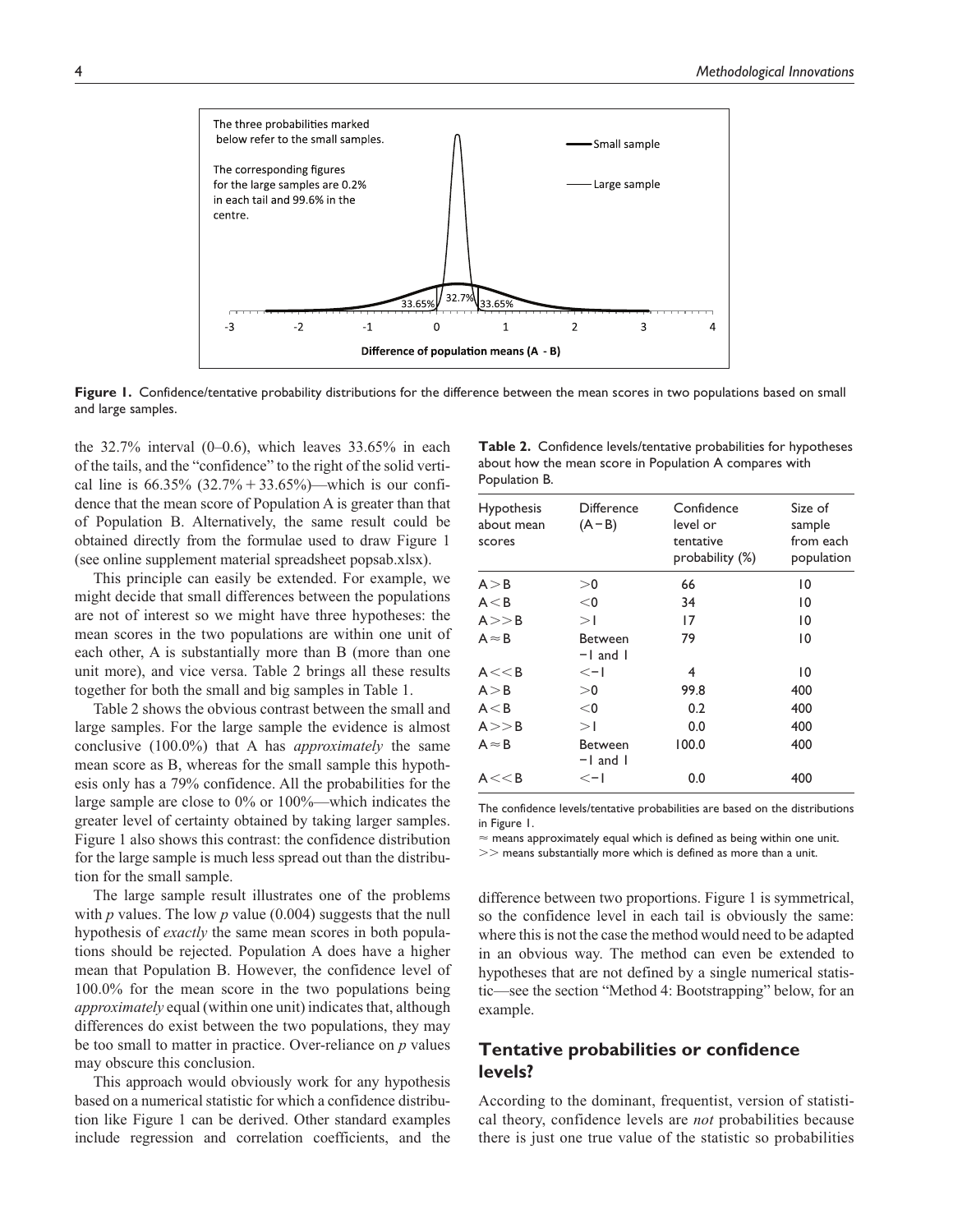

**Figure 1.** Confidence/tentative probability distributions for the difference between the mean scores in two populations based on small and large samples.

the  $32.7\%$  interval  $(0-0.6)$ , which leaves  $33.65\%$  in each of the tails, and the "confidence" to the right of the solid vertical line is  $66.35\%$   $(32.7\% + 33.65\%)$ —which is our confidence that the mean score of Population A is greater than that of Population B. Alternatively, the same result could be obtained directly from the formulae used to draw Figure 1 (see [online supplement material](https://journals.sagepub.com/doi/suppl/10.1177/2059799119826518) spreadsheet [popsab.xlsx\)](https://journals.sagepub.com/doi/suppl/10.1177/2059799119826518).

This principle can easily be extended. For example, we might decide that small differences between the populations are not of interest so we might have three hypotheses: the mean scores in the two populations are within one unit of each other, A is substantially more than B (more than one unit more), and vice versa. Table 2 brings all these results together for both the small and big samples in Table 1.

Table 2 shows the obvious contrast between the small and large samples. For the large sample the evidence is almost conclusive (100.0%) that A has *approximately* the same mean score as B, whereas for the small sample this hypothesis only has a 79% confidence. All the probabilities for the large sample are close to 0% or 100%—which indicates the greater level of certainty obtained by taking larger samples. Figure 1 also shows this contrast: the confidence distribution for the large sample is much less spread out than the distribution for the small sample.

The large sample result illustrates one of the problems with *p* values. The low *p* value (0.004) suggests that the null hypothesis of *exactly* the same mean scores in both populations should be rejected. Population A does have a higher mean that Population B. However, the confidence level of 100.0% for the mean score in the two populations being *approximately* equal (within one unit) indicates that, although differences do exist between the two populations, they may be too small to matter in practice. Over-reliance on *p* values may obscure this conclusion.

This approach would obviously work for any hypothesis based on a numerical statistic for which a confidence distribution like Figure 1 can be derived. Other standard examples include regression and correlation coefficients, and the

**Table 2.** Confidence levels/tentative probabilities for hypotheses about how the mean score in Population A compares with Population B.

| Hypothesis<br>about mean<br>scores | <b>Difference</b><br>$(A - B)$ | Confidence<br>level or<br>tentative<br>probability (%) | Size of<br>sample<br>from each<br>population |
|------------------------------------|--------------------------------|--------------------------------------------------------|----------------------------------------------|
| A > B                              | > 0                            | 66                                                     | 10                                           |
| A < B                              | $<$ 0                          | 34                                                     | 10                                           |
| A>>B                               | >1                             | 17                                                     | 10                                           |
| $A \approx B$                      | <b>Between</b><br>$-1$ and $1$ | 79                                                     | 10                                           |
| A << B                             | $\leq -1$                      | 4                                                      | 10                                           |
| A > B                              | >0                             | 99.8                                                   | 400                                          |
| A < B                              | $<$ 0                          | 0.2                                                    | 400                                          |
| A>>B                               | >1                             | 0.0                                                    | 400                                          |
| $A \approx B$                      | <b>Between</b><br>$-1$ and $1$ | 100.0                                                  | 400                                          |
| A << B                             | $\leq -1$                      | 0.0                                                    | 400                                          |

The confidence levels/tentative probabilities are based on the distributions in Figure 1.

 $\approx$  means approximately equal which is defined as being within one unit.

>> means substantially more which is defined as more than a unit.

difference between two proportions. Figure 1 is symmetrical, so the confidence level in each tail is obviously the same: where this is not the case the method would need to be adapted in an obvious way. The method can even be extended to hypotheses that are not defined by a single numerical statistic—see the section "Method 4: Bootstrapping" below, for an example.

### **Tentative probabilities or confidence levels?**

According to the dominant, frequentist, version of statistical theory, confidence levels are *not* probabilities because there is just one true value of the statistic so probabilities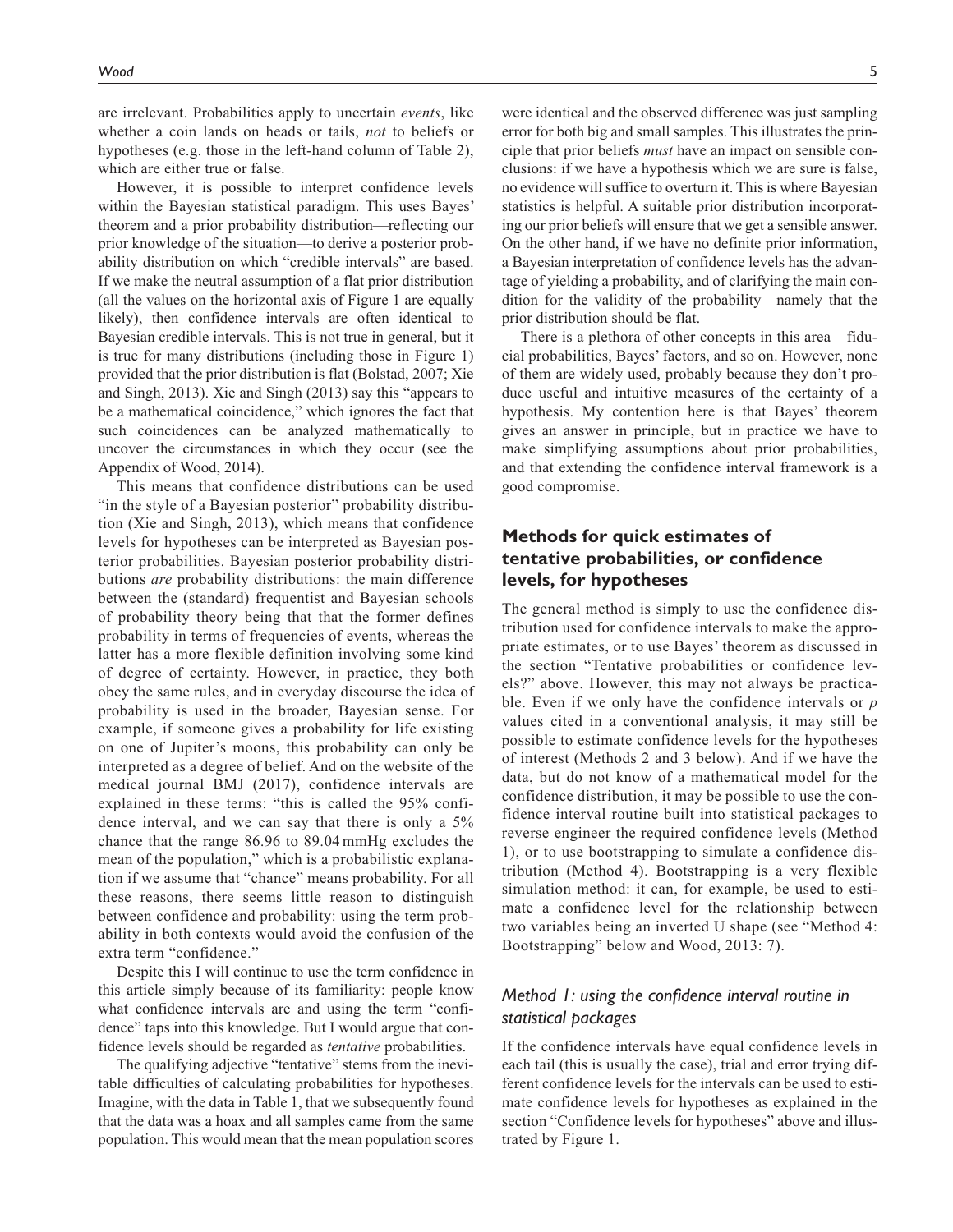are irrelevant. Probabilities apply to uncertain *events*, like whether a coin lands on heads or tails, *not* to beliefs or hypotheses (e.g. those in the left-hand column of Table 2), which are either true or false.

However, it is possible to interpret confidence levels within the Bayesian statistical paradigm. This uses Bayes' theorem and a prior probability distribution—reflecting our prior knowledge of the situation—to derive a posterior probability distribution on which "credible intervals" are based. If we make the neutral assumption of a flat prior distribution (all the values on the horizontal axis of Figure 1 are equally likely), then confidence intervals are often identical to Bayesian credible intervals. This is not true in general, but it is true for many distributions (including those in Figure 1) provided that the prior distribution is flat (Bolstad, 2007; Xie and Singh, 2013). Xie and Singh (2013) say this "appears to be a mathematical coincidence," which ignores the fact that such coincidences can be analyzed mathematically to uncover the circumstances in which they occur (see the Appendix of Wood, 2014).

This means that confidence distributions can be used "in the style of a Bayesian posterior" probability distribution (Xie and Singh, 2013), which means that confidence levels for hypotheses can be interpreted as Bayesian posterior probabilities. Bayesian posterior probability distributions *are* probability distributions: the main difference between the (standard) frequentist and Bayesian schools of probability theory being that that the former defines probability in terms of frequencies of events, whereas the latter has a more flexible definition involving some kind of degree of certainty. However, in practice, they both obey the same rules, and in everyday discourse the idea of probability is used in the broader, Bayesian sense. For example, if someone gives a probability for life existing on one of Jupiter's moons, this probability can only be interpreted as a degree of belief. And on the website of the medical journal BMJ (2017), confidence intervals are explained in these terms: "this is called the 95% confidence interval, and we can say that there is only a 5% chance that the range 86.96 to 89.04 mmHg excludes the mean of the population," which is a probabilistic explanation if we assume that "chance" means probability. For all these reasons, there seems little reason to distinguish between confidence and probability: using the term probability in both contexts would avoid the confusion of the extra term "confidence."

Despite this I will continue to use the term confidence in this article simply because of its familiarity: people know what confidence intervals are and using the term "confidence" taps into this knowledge. But I would argue that confidence levels should be regarded as *tentative* probabilities.

The qualifying adjective "tentative" stems from the inevitable difficulties of calculating probabilities for hypotheses. Imagine, with the data in Table 1, that we subsequently found that the data was a hoax and all samples came from the same population. This would mean that the mean population scores

were identical and the observed difference was just sampling error for both big and small samples. This illustrates the principle that prior beliefs *must* have an impact on sensible conclusions: if we have a hypothesis which we are sure is false, no evidence will suffice to overturn it. This is where Bayesian statistics is helpful. A suitable prior distribution incorporating our prior beliefs will ensure that we get a sensible answer. On the other hand, if we have no definite prior information, a Bayesian interpretation of confidence levels has the advantage of yielding a probability, and of clarifying the main condition for the validity of the probability—namely that the prior distribution should be flat.

There is a plethora of other concepts in this area—fiducial probabilities, Bayes' factors, and so on. However, none of them are widely used, probably because they don't produce useful and intuitive measures of the certainty of a hypothesis. My contention here is that Bayes' theorem gives an answer in principle, but in practice we have to make simplifying assumptions about prior probabilities, and that extending the confidence interval framework is a good compromise.

# **Methods for quick estimates of tentative probabilities, or confidence levels, for hypotheses**

The general method is simply to use the confidence distribution used for confidence intervals to make the appropriate estimates, or to use Bayes' theorem as discussed in the section "Tentative probabilities or confidence levels?" above. However, this may not always be practicable. Even if we only have the confidence intervals or *p* values cited in a conventional analysis, it may still be possible to estimate confidence levels for the hypotheses of interest (Methods 2 and 3 below). And if we have the data, but do not know of a mathematical model for the confidence distribution, it may be possible to use the confidence interval routine built into statistical packages to reverse engineer the required confidence levels (Method 1), or to use bootstrapping to simulate a confidence distribution (Method 4). Bootstrapping is a very flexible simulation method: it can, for example, be used to estimate a confidence level for the relationship between two variables being an inverted U shape (see "Method 4: Bootstrapping" below and Wood, 2013: 7).

### *Method 1: using the confidence interval routine in statistical packages*

If the confidence intervals have equal confidence levels in each tail (this is usually the case), trial and error trying different confidence levels for the intervals can be used to estimate confidence levels for hypotheses as explained in the section "Confidence levels for hypotheses" above and illustrated by Figure 1.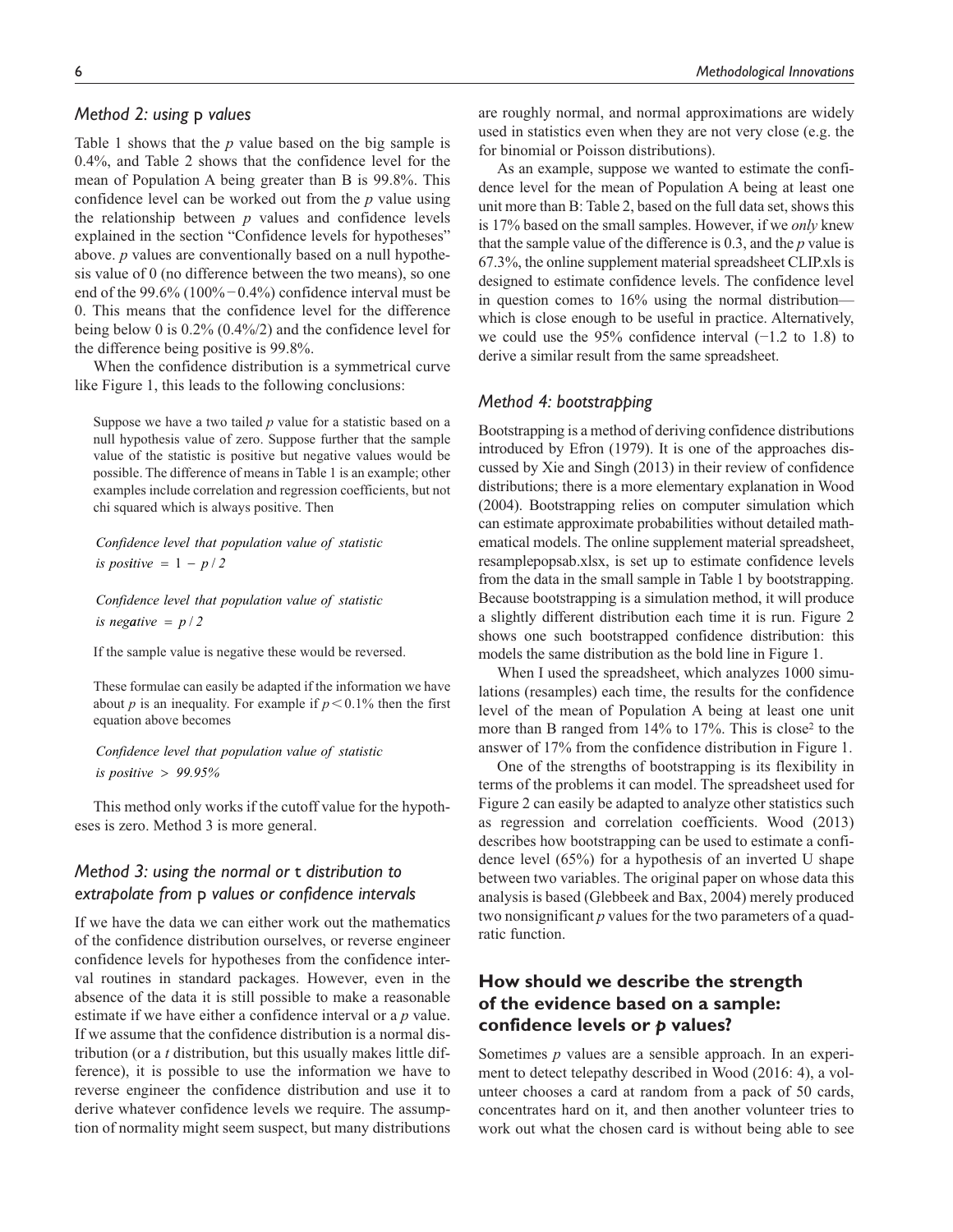### *Method 2: using* p *values*

Table 1 shows that the *p* value based on the big sample is 0.4%, and Table 2 shows that the confidence level for the mean of Population A being greater than B is 99.8%. This confidence level can be worked out from the *p* value using the relationship between *p* values and confidence levels explained in the section "Confidence levels for hypotheses" above. *p* values are conventionally based on a null hypothesis value of 0 (no difference between the two means), so one end of the 99.6% (100%−0.4%) confidence interval must be 0. This means that the confidence level for the difference being below 0 is 0.2% (0.4%/2) and the confidence level for the difference being positive is 99.8%.

When the confidence distribution is a symmetrical curve like Figure 1, this leads to the following conclusions:

Suppose we have a two tailed *p* value for a statistic based on a null hypothesis value of zero. Suppose further that the sample value of the statistic is positive but negative values would be possible. The difference of means in Table 1 is an example; other examples include correlation and regression coefficients, but not chi squared which is always positive. Then

*Confidence level that population value of statistic*  $is positive = 1 - p/2$ 

*Confidence level that population value of statistic is negative* =  $p / 2$ 

If the sample value is negative these would be reversed.

These formulae can easily be adapted if the information we have about *p* is an inequality. For example if  $p < 0.1\%$  then the first equation above becomes

*Confidence level that population value of statistic is pos itive* > *99.95%*

This method only works if the cutoff value for the hypotheses is zero. Method 3 is more general.

### *Method 3: using the normal or* t *distribution to extrapolate from* p *values or confidence intervals*

If we have the data we can either work out the mathematics of the confidence distribution ourselves, or reverse engineer confidence levels for hypotheses from the confidence interval routines in standard packages. However, even in the absence of the data it is still possible to make a reasonable estimate if we have either a confidence interval or a *p* value. If we assume that the confidence distribution is a normal distribution (or a *t* distribution, but this usually makes little difference), it is possible to use the information we have to reverse engineer the confidence distribution and use it to derive whatever confidence levels we require. The assumption of normality might seem suspect, but many distributions

are roughly normal, and normal approximations are widely used in statistics even when they are not very close (e.g. the for binomial or Poisson distributions).

As an example, suppose we wanted to estimate the confidence level for the mean of Population A being at least one unit more than B: Table 2, based on the full data set, shows this is 17% based on the small samples. However, if we *only* knew that the sample value of the difference is 0.3, and the *p* value is 67.3%, the [online supplement material](https://journals.sagepub.com/doi/suppl/10.1177/2059799119826518) spreadsheet [CLIP.xls](https://journals.sagepub.com/doi/suppl/10.1177/2059799119826518) is designed to estimate confidence levels. The confidence level in question comes to 16% using the normal distribution which is close enough to be useful in practice. Alternatively, we could use the 95% confidence interval (−1.2 to 1.8) to derive a similar result from the same spreadsheet.

### *Method 4: bootstrapping*

Bootstrapping is a method of deriving confidence distributions introduced by Efron (1979). It is one of the approaches discussed by Xie and Singh (2013) in their review of confidence distributions; there is a more elementary explanation in Wood (2004). Bootstrapping relies on computer simulation which can estimate approximate probabilities without detailed mathematical models. The [online supplement material](https://journals.sagepub.com/doi/suppl/10.1177/2059799119826518) spreadsheet, [resamplepopsab.xlsx](https://journals.sagepub.com/doi/suppl/10.1177/2059799119826518), is set up to estimate confidence levels from the data in the small sample in Table 1 by bootstrapping. Because bootstrapping is a simulation method, it will produce a slightly different distribution each time it is run. Figure 2 shows one such bootstrapped confidence distribution: this models the same distribution as the bold line in Figure 1.

When I used the spreadsheet, which analyzes 1000 simulations (resamples) each time, the results for the confidence level of the mean of Population A being at least one unit more than B ranged from 14% to 17%. This is close<sup>2</sup> to the answer of 17% from the confidence distribution in Figure 1.

One of the strengths of bootstrapping is its flexibility in terms of the problems it can model. The spreadsheet used for Figure 2 can easily be adapted to analyze other statistics such as regression and correlation coefficients. Wood (2013) describes how bootstrapping can be used to estimate a confidence level (65%) for a hypothesis of an inverted U shape between two variables. The original paper on whose data this analysis is based (Glebbeek and Bax, 2004) merely produced two nonsignificant *p* values for the two parameters of a quadratic function.

## **How should we describe the strength of the evidence based on a sample: confidence levels or** *p* **values?**

Sometimes *p* values are a sensible approach. In an experiment to detect telepathy described in Wood (2016: 4), a volunteer chooses a card at random from a pack of 50 cards, concentrates hard on it, and then another volunteer tries to work out what the chosen card is without being able to see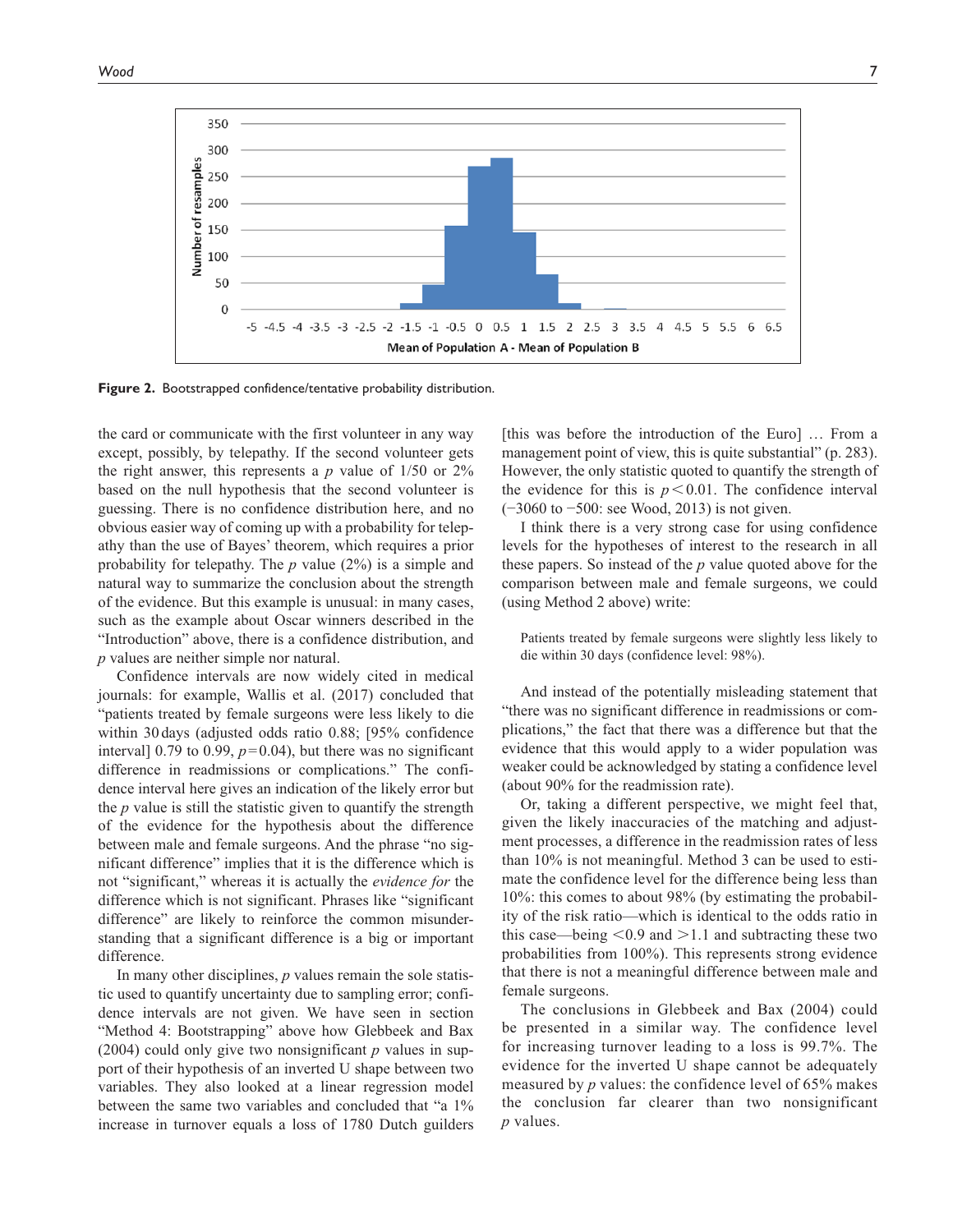

**Figure 2.** Bootstrapped confidence/tentative probability distribution.

the card or communicate with the first volunteer in any way except, possibly, by telepathy. If the second volunteer gets the right answer, this represents a  $p$  value of  $1/50$  or  $2\%$ based on the null hypothesis that the second volunteer is guessing. There is no confidence distribution here, and no obvious easier way of coming up with a probability for telepathy than the use of Bayes' theorem, which requires a prior probability for telepathy. The *p* value (2%) is a simple and natural way to summarize the conclusion about the strength of the evidence. But this example is unusual: in many cases, such as the example about Oscar winners described in the "Introduction" above, there is a confidence distribution, and *p* values are neither simple nor natural.

Confidence intervals are now widely cited in medical journals: for example, Wallis et al. (2017) concluded that "patients treated by female surgeons were less likely to die within 30days (adjusted odds ratio 0.88; [95% confidence interval] 0.79 to 0.99,  $p=0.04$ ), but there was no significant difference in readmissions or complications." The confidence interval here gives an indication of the likely error but the *p* value is still the statistic given to quantify the strength of the evidence for the hypothesis about the difference between male and female surgeons. And the phrase "no significant difference" implies that it is the difference which is not "significant," whereas it is actually the *evidence for* the difference which is not significant. Phrases like "significant difference" are likely to reinforce the common misunderstanding that a significant difference is a big or important difference.

In many other disciplines, *p* values remain the sole statistic used to quantify uncertainty due to sampling error; confidence intervals are not given. We have seen in section "Method 4: Bootstrapping" above how Glebbeek and Bax (2004) could only give two nonsignificant *p* values in support of their hypothesis of an inverted U shape between two variables. They also looked at a linear regression model between the same two variables and concluded that "a 1% increase in turnover equals a loss of 1780 Dutch guilders

[this was before the introduction of the Euro] … From a management point of view, this is quite substantial" (p. 283). However, the only statistic quoted to quantify the strength of the evidence for this is  $p < 0.01$ . The confidence interval (−3060 to −500: see Wood, 2013) is not given.

I think there is a very strong case for using confidence levels for the hypotheses of interest to the research in all these papers. So instead of the *p* value quoted above for the comparison between male and female surgeons, we could (using Method 2 above) write:

Patients treated by female surgeons were slightly less likely to die within 30 days (confidence level: 98%).

And instead of the potentially misleading statement that "there was no significant difference in readmissions or complications," the fact that there was a difference but that the evidence that this would apply to a wider population was weaker could be acknowledged by stating a confidence level (about 90% for the readmission rate).

Or, taking a different perspective, we might feel that, given the likely inaccuracies of the matching and adjustment processes, a difference in the readmission rates of less than 10% is not meaningful. Method 3 can be used to estimate the confidence level for the difference being less than 10%: this comes to about 98% (by estimating the probability of the risk ratio—which is identical to the odds ratio in this case—being  $\leq 0.9$  and  $\geq 1.1$  and subtracting these two probabilities from 100%). This represents strong evidence that there is not a meaningful difference between male and female surgeons.

The conclusions in Glebbeek and Bax (2004) could be presented in a similar way. The confidence level for increasing turnover leading to a loss is 99.7%. The evidence for the inverted U shape cannot be adequately measured by *p* values: the confidence level of 65% makes the conclusion far clearer than two nonsignificant *p* values.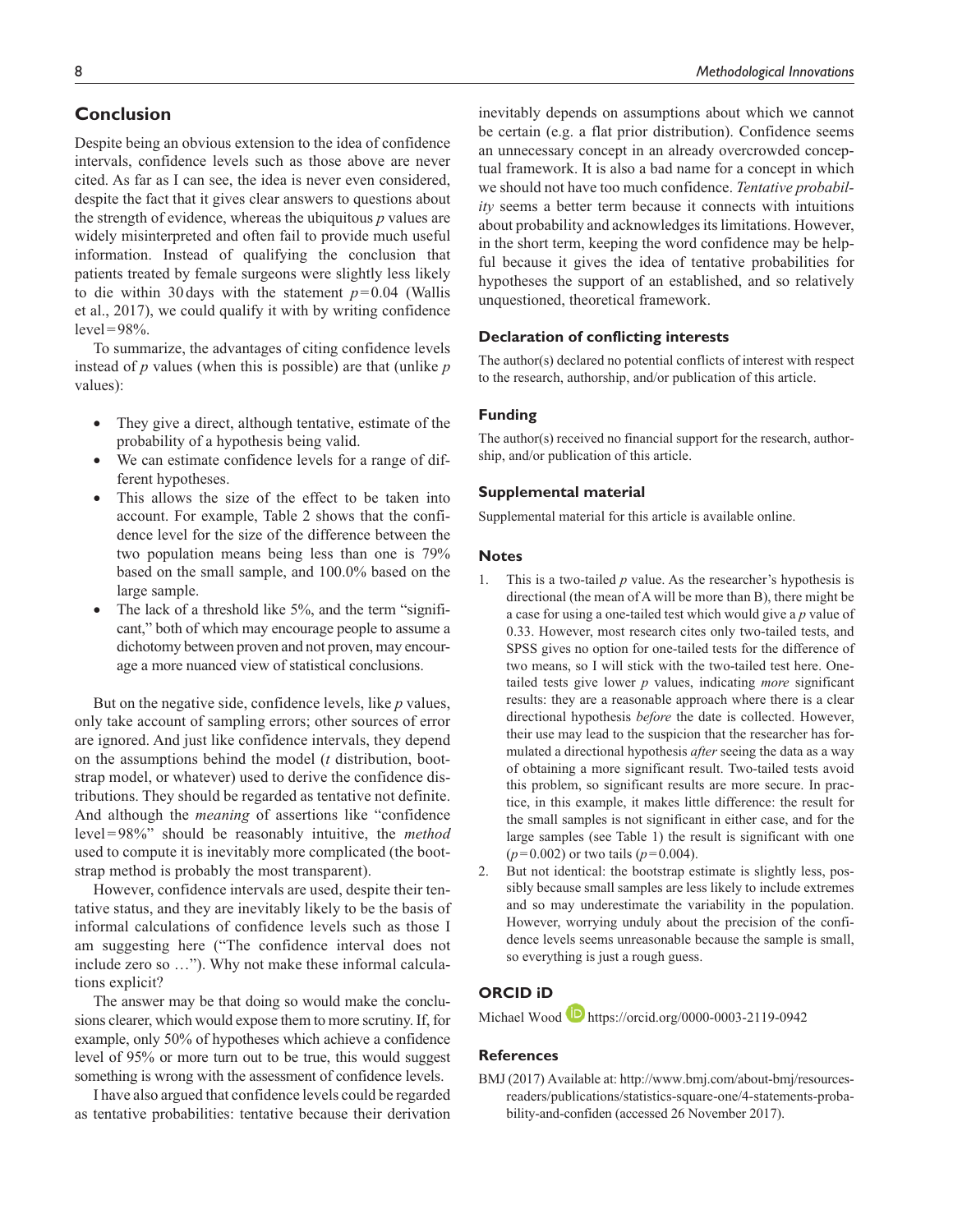Despite being an obvious extension to the idea of confidence intervals, confidence levels such as those above are never cited. As far as I can see, the idea is never even considered, despite the fact that it gives clear answers to questions about the strength of evidence, whereas the ubiquitous *p* values are widely misinterpreted and often fail to provide much useful information. Instead of qualifying the conclusion that patients treated by female surgeons were slightly less likely to die within 30 days with the statement  $p=0.04$  (Wallis et al., 2017), we could qualify it with by writing confidence  $level=98\%$ .

To summarize, the advantages of citing confidence levels instead of *p* values (when this is possible) are that (unlike *p* values):

- They give a direct, although tentative, estimate of the probability of a hypothesis being valid.
- We can estimate confidence levels for a range of different hypotheses.
- This allows the size of the effect to be taken into account. For example, Table 2 shows that the confidence level for the size of the difference between the two population means being less than one is 79% based on the small sample, and 100.0% based on the large sample.
- The lack of a threshold like 5%, and the term "significant," both of which may encourage people to assume a dichotomy between proven and not proven, may encourage a more nuanced view of statistical conclusions.

But on the negative side, confidence levels, like *p* values, only take account of sampling errors; other sources of error are ignored. And just like confidence intervals, they depend on the assumptions behind the model (*t* distribution, bootstrap model, or whatever) used to derive the confidence distributions. They should be regarded as tentative not definite. And although the *meaning* of assertions like "confidence level=98%" should be reasonably intuitive, the *method* used to compute it is inevitably more complicated (the bootstrap method is probably the most transparent).

However, confidence intervals are used, despite their tentative status, and they are inevitably likely to be the basis of informal calculations of confidence levels such as those I am suggesting here ("The confidence interval does not include zero so …"). Why not make these informal calculations explicit?

The answer may be that doing so would make the conclusions clearer, which would expose them to more scrutiny. If, for example, only 50% of hypotheses which achieve a confidence level of 95% or more turn out to be true, this would suggest something is wrong with the assessment of confidence levels.

I have also argued that confidence levels could be regarded as tentative probabilities: tentative because their derivation inevitably depends on assumptions about which we cannot be certain (e.g. a flat prior distribution). Confidence seems an unnecessary concept in an already overcrowded conceptual framework. It is also a bad name for a concept in which we should not have too much confidence. *Tentative probability* seems a better term because it connects with intuitions about probability and acknowledges its limitations. However, in the short term, keeping the word confidence may be helpful because it gives the idea of tentative probabilities for hypotheses the support of an established, and so relatively unquestioned, theoretical framework.

### **Declaration of conflicting interests**

The author(s) declared no potential conflicts of interest with respect to the research, authorship, and/or publication of this article.

### **Funding**

The author(s) received no financial support for the research, authorship, and/or publication of this article.

#### **Supplemental material**

Supplemental material for this article is available online.

#### **Notes**

- 1. This is a two-tailed *p* value. As the researcher's hypothesis is directional (the mean of A will be more than B), there might be a case for using a one-tailed test which would give a *p* value of 0.33. However, most research cites only two-tailed tests, and SPSS gives no option for one-tailed tests for the difference of two means, so I will stick with the two-tailed test here. Onetailed tests give lower *p* values, indicating *more* significant results: they are a reasonable approach where there is a clear directional hypothesis *before* the date is collected. However, their use may lead to the suspicion that the researcher has formulated a directional hypothesis *after* seeing the data as a way of obtaining a more significant result. Two-tailed tests avoid this problem, so significant results are more secure. In practice, in this example, it makes little difference: the result for the small samples is not significant in either case, and for the large samples (see Table 1) the result is significant with one (*p*=0.002) or two tails (*p*=0.004).
- 2. But not identical: the bootstrap estimate is slightly less, possibly because small samples are less likely to include extremes and so may underestimate the variability in the population. However, worrying unduly about the precision of the confidence levels seems unreasonable because the sample is small, so everything is just a rough guess.

## **ORCID iD**

Michael Wood D <https://orcid.org/0000-0003-2119-0942>

#### **References**

BMJ (2017) Available at: [http://www.bmj.com/about-bmj/resources](http://www.bmj.com/about-bmj/resources-readers/publications/statistics-square-one/4-statements-probability-and-confiden)[readers/publications/statistics-square-one/4-statements-proba](http://www.bmj.com/about-bmj/resources-readers/publications/statistics-square-one/4-statements-probability-and-confiden)[bility-and-confiden](http://www.bmj.com/about-bmj/resources-readers/publications/statistics-square-one/4-statements-probability-and-confiden) (accessed 26 November 2017).